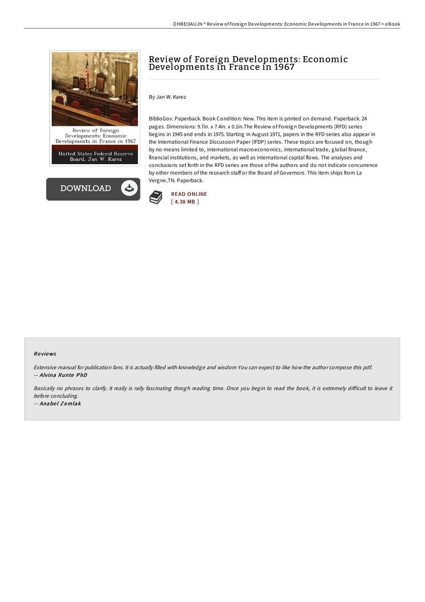

Developments: Economic<br>Developments in France in 1967

United States Federal Reserve<br>Board, Jan W. Karez



## Review of Foreign Developments: Economic Developments in France in 1967

By Jan W. Karez

BiblioGov. Paperback. Book Condition: New. This item is printed on demand. Paperback. 24 pages. Dimensions: 9.7in. x 7.4in. x 0.1in.The Review of Foreign Developments (RFD) series begins in 1945 and ends in 1975. Starting in August 1971, papers in the RFD series also appear in the International Finance Discussion Paper (IFDP) series. These topics are focused on, though by no means limited to, international macroeconomics, international trade, global finance, financial institutions, and markets, as well as international capital flows. The analyses and conclusions set forth in the RFD series are those of the authors and do not indicate concurrence by other members of the research staff or the Board of Governors. This item ships from La Vergne,TN. Paperback.



## Re views

Extensive manual for publication fans. It is actually filled with knowledge and wisdom You can expect to like how the author compose this pdf. -- Alvina Runte PhD

Basically no phrases to clarify. It really is rally fascinating throgh reading time. Once you begin to read the book, it is extremely difficult to leave it before concluding.

-- Anabel Zemlak